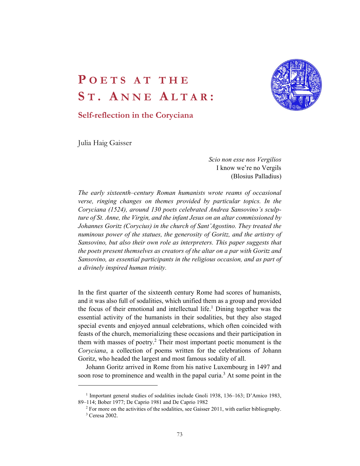# POETS AT THE<br>ST. ANNE ALTAR:<br>Self-reflection in the Coryciana **POETS AT THE<br>ST. ANNE ALTAR:**<br>Self-reflection in the Coryciana<br>Julia Haig Gaisser



# Self-reflection in the Coryciana

Julia Haig Gaisser

 Scio non esse nos Vergilios I know we're no Vergils (Blosius Palladius)

The early sixteenth–century Roman humanists wrote reams of occasional verse, ringing changes on themes provided by particular topics. In the Coryciana (1524), around 130 poets celebrated Andrea Sansovino's sculpture of St. Anne, the Virgin, and the infant Jesus on an altar commissioned by Johannes Goritz (Corycius) in the church of Sant'Agostino. They treated the numinous power of the statues, the generosity of Goritz, and the artistry of Sansovino, but also their own role as interpreters. This paper suggests that the poets present themselves as creators of the altar on a par with Goritz and Sansovino, as essential participants in the religious occasion, and as part of a divinely inspired human trinity.

In the first quarter of the sixteenth century Rome had scores of humanists, and it was also full of sodalities, which unified them as a group and provided the focus of their emotional and intellectual life.<sup>1</sup> Dining together was the essential activity of the humanists in their sodalities, but they also staged special events and enjoyed annual celebrations, which often coincided with feasts of the church, memorializing these occasions and their participation in them with masses of poetry.<sup>2</sup> Their most important poetic monument is the Coryciana, a collection of poems written for the celebrations of Johann Goritz, who headed the largest and most famous sodality of all.

Johann Goritz arrived in Rome from his native Luxembourg in 1497 and soon rose to prominence and wealth in the papal curia.<sup>3</sup> At some point in the 1998 and 1998 and 1998 and 1998 and 1998 and 1998 and 1998 and 1998 and 1998 and 1998 and 1998 and 1998 and 1998 and 1998 and 1998 and 1998 and

<sup>&</sup>lt;sup>1</sup> Important general studies of sodalities include Gnoli 1938, 136–163; D'Amico 1983, 89–114; Bober 1977; De Caprio 1981 and De Caprio 1982 2

 $2$  For more on the activities of the sodalities, see Gaisser 2011, with earlier bibliography. <sup>3</sup> Ceresa 2002.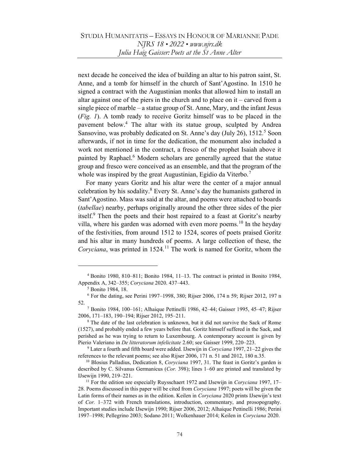next decade he conceived the idea of building an altar to his patron saint, St. Anne, and a tomb for himself in the church of Sant'Agostino. In 1510 he signed a contract with the Augustinian monks that allowed him to install an altar against one of the piers in the church and to place on it – carved from a single piece of marble – a statue group of St. Anne, Mary, and the infant Jesus (Fig. 1). A tomb ready to receive Goritz himself was to be placed in the pavement below.<sup>4</sup> The altar with its statue group, sculpted by Andrea Sansovino, was probably dedicated on St. Anne's day (July 26), 1512.<sup>5</sup> Soon afterwards, if not in time for the dedication, the monument also included a work not mentioned in the contract, a fresco of the prophet Isaiah above it painted by Raphael.<sup>6</sup> Modern scholars are generally agreed that the statue group and fresco were conceived as an ensemble, and that the program of the whole was inspired by the great Augustinian, Egidio da Viterbo.<sup>7</sup>

For many years Goritz and his altar were the center of a major annual celebration by his sodality.<sup>8</sup> Every St. Anne's day the humanists gathered in Sant'Agostino. Mass was said at the altar, and poems were attached to boards (tabellae) nearby, perhaps originally around the other three sides of the pier itself.<sup>9</sup> Then the poets and their host repaired to a feast at Goritz's nearby villa, where his garden was adorned with even more poems.<sup>10</sup> In the heyday of the festivities, from around 1512 to 1524, scores of poets praised Goritz and his altar in many hundreds of poems. A large collection of these, the Coryciana, was printed in  $1524$ .<sup>11</sup> The work is named for Goritz, whom the

<sup>4</sup> Bonito 1980, 810–811; Bonito 1984, 11–13. The contract is printed in Bonito 1984, Appendix A, 342–355; Coryciana 2020. 437–443.

<sup>5</sup> Bonito 1984, 18.

<sup>6</sup> For the dating, see Perini 1997–1998, 380; Rijser 2006, 174 n 59; Rijser 2012, 197 n 52.

<sup>7</sup> Bonito 1984, 100–161; Alhaique Pettinelli 1986, 42–44; Gaisser 1995, 45–47; Rijser 2006, 171–183, 190–194; Rijser 2012, 195–211.

<sup>&</sup>lt;sup>8</sup> The date of the last celebration is unknown, but it did not survive the Sack of Rome (1527), and probably ended a few years before that. Goritz himself suffered in the Sack, and perished as he was trying to return to Luxembourg. A contemporary account is given by Pierio Valeriano in De litteratorum infelicitate 2.60; see Gaisser 1999, 220-223.

<sup>&</sup>lt;sup>9</sup> Later a fourth and fifth board were added. IJsewijn in *Coryciana* 1997, 21–22 gives the references to the relevant poems; see also Rijser 2006, 171 n. 51 and 2012, 180 n.35.

 $10$  Blosius Palladius, Dedication 8, Coryciana 1997, 31. The feast in Goritz's garden is described by C. Silvanus Germanicus (Cor. 398); lines 1–60 are printed and translated by IJsewijn 1990, 219–221.

<sup>&</sup>lt;sup>11</sup> For the edition see especially Ruysschaert 1972 and IJsewijn in Coryciana 1997, 17– 28. Poems discussed in this paper will be cited from Coryciana 1997; poets will be given the Latin forms of their names as in the edition. Keilen in *Coryciana* 2020 prints IJsewijn's text of Cor. 1–372 with French translations, introduction, commentary, and prosopography. Important studies include IJsewijn 1990; Rijser 2006, 2012; Alhaique Pettinelli 1986; Perini 1997–1998; Pellegrino 2003; Sodano 2011; Wolkenhauer 2014; Keilen in Coryciana 2020.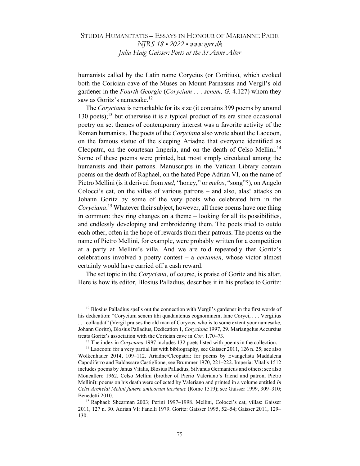humanists called by the Latin name Corycius (or Coritius), which evoked both the Corician cave of the Muses on Mount Parnassus and Vergil's old gardener in the Fourth Georgic (Corycium . . . senem, G. 4.127) whom they saw as Goritz's namesake.<sup>12</sup>

The Coryciana is remarkable for its size (it contains 399 poems by around 130 poets); $^{13}$  but otherwise it is a typical product of its era since occasional poetry on set themes of contemporary interest was a favorite activity of the Roman humanists. The poets of the Coryciana also wrote about the Laocoon, on the famous statue of the sleeping Ariadne that everyone identified as Cleopatra, on the courtesan Imperia, and on the death of Celso Mellini.<sup>14</sup> Some of these poems were printed, but most simply circulated among the humanists and their patrons. Manuscripts in the Vatican Library contain poems on the death of Raphael, on the hated Pope Adrian VI, on the name of Pietro Mellini (is it derived from mel, "honey," or melos, "song"?), on Angelo Colocci's cat, on the villas of various patrons – and also, alas! attacks on Johann Goritz by some of the very poets who celebrated him in the Coryciana.<sup>15</sup> Whatever their subject, however, all these poems have one thing in common: they ring changes on a theme – looking for all its possibilities, and endlessly developing and embroidering them. The poets tried to outdo each other, often in the hope of rewards from their patrons. The poems on the name of Pietro Mellini, for example, were probably written for a competition at a party at Mellini's villa. And we are told repeatedly that Goritz's celebrations involved a poetry contest  $-$  a *certamen*, whose victor almost certainly would have carried off a cash reward.

The set topic in the *Coryciana*, of course, is praise of Goritz and his altar. Here is how its editor, Blosius Palladius, describes it in his preface to Goritz:

 $12$  Blosius Palladius spells out the connection with Vergil's gardener in the first words of his dedication: "Corycium senem tibi quadantenus cognominem, Iane Coryci, . . . Vergilius . . . collaudat" (Vergil praises the old man of Corycus, who is to some extent your namesake, Johann Goritz), Blosius Palladius, Dedication 1, Coryciana 1997, 29. Mariangelus Accursius treats Goritz's association with the Corician cave in Cor. 1.70–73.

<sup>&</sup>lt;sup>13</sup> The index in *Coryciana* 1997 includes 132 poets listed with poems in the collection.

<sup>&</sup>lt;sup>14</sup> Laocoon: for a very partial list with bibliography, see Gaisser 2011, 126 n. 25; see also Wolkenhauer 2014, 109–112. Ariadne/Cleopatra: for poems by Evangelista Maddalena Capodiferro and Baldassare Castiglione, see Brummer 1970, 221–222. Imperia: Vitalis 1512 includes poems by Janus Vitalis, Blosius Palladius, Silvanus Germanicus and others; see also Moncallero 1962. Celso Mellini (brother of Pierio Valeriano's friend and patron, Pietro Mellini): poems on his death were collected by Valeriano and printed in a volume entitled  $In$ Celsi Archelai Melini funere amicorum lacrimae (Rome 1519); see Gaisser 1999, 309–310; Benedetti 2010.

<sup>15</sup> Raphael: Shearman 2003; Perini 1997–1998. Mellini, Colocci's cat, villas: Gaisser 2011, 127 n. 30. Adrian VI: Fanelli 1979. Goritz: Gaisser 1995, 52–54; Gaisser 2011, 129– 130.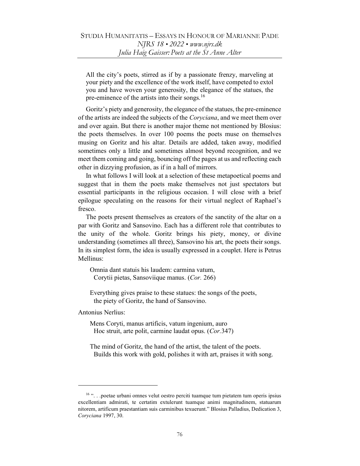All the city's poets, stirred as if by a passionate frenzy, marveling at your piety and the excellence of the work itself, have competed to extol you and have woven your generosity, the elegance of the statues, the pre-eminence of the artists into their songs.<sup>16</sup>

Goritz's piety and generosity, the elegance of the statues, the pre-eminence of the artists are indeed the subjects of the Coryciana, and we meet them over and over again. But there is another major theme not mentioned by Blosius: the poets themselves. In over 100 poems the poets muse on themselves musing on Goritz and his altar. Details are added, taken away, modified sometimes only a little and sometimes almost beyond recognition, and we meet them coming and going, bouncing off the pages at us and reflecting each other in dizzying profusion, as if in a hall of mirrors.

In what follows I will look at a selection of these metapoetical poems and suggest that in them the poets make themselves not just spectators but essential participants in the religious occasion. I will close with a brief epilogue speculating on the reasons for their virtual neglect of Raphael's fresco.

The poets present themselves as creators of the sanctity of the altar on a par with Goritz and Sansovino. Each has a different role that contributes to the unity of the whole. Goritz brings his piety, money, or divine understanding (sometimes all three), Sansovino his art, the poets their songs. In its simplest form, the idea is usually expressed in a couplet. Here is Petrus Mellinus:

 Omnia dant statuis his laudem: carmina vatum, Corytii pietas, Sansoviique manus. (Cor. 266)

 Everything gives praise to these statues: the songs of the poets, the piety of Goritz, the hand of Sansovino.

Antonius Nerlius:

 Mens Coryti, manus artificis, vatum ingenium, auro Hoc struit, arte polit, carmine laudat opus. (Cor.347)

 The mind of Goritz, the hand of the artist, the talent of the poets. Builds this work with gold, polishes it with art, praises it with song.

<sup>&</sup>lt;sup>16</sup> "... poetae urbani omnes velut oestro perciti tuamque tum pietatem tum operis ipsius excellentiam admirati, te certatim extulerunt tuamque animi magnitudinem, statuarum nitorem, artificum praestantiam suis carminibus texuerunt." Blosius Palladius, Dedication 3, Coryciana 1997, 30.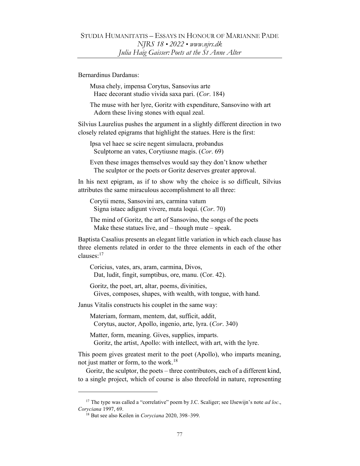### Bernardinus Dardanus:

 Musa chely, impensa Corytus, Sansovius arte Haec decorant studio vivida saxa pari. (Cor. 184)

 The muse with her lyre, Goritz with expenditure, Sansovino with art Adorn these living stones with equal zeal.

Silvius Laurelius pushes the argument in a slightly different direction in two closely related epigrams that highlight the statues. Here is the first:

 Ipsa vel haec se scire negent simulacra, probandus Sculptorne an vates, Corytiusne magis. (Cor. 69)

 Even these images themselves would say they don't know whether The sculptor or the poets or Goritz deserves greater approval.

In his next epigram, as if to show why the choice is so difficult, Silvius attributes the same miraculous accomplishment to all three:

 Corytii mens, Sansovini ars, carmina vatum Signa istaec adigunt vivere, muta loqui. (Cor. 70)

 The mind of Goritz, the art of Sansovino, the songs of the poets Make these statues live, and  $-$  though mute  $-$  speak.

Baptista Casalius presents an elegant little variation in which each clause has three elements related in order to the three elements in each of the other clauses:<sup>17</sup>

 Coricius, vates, ars, aram, carmina, Divos, Dat, ludit, fingit, sumptibus, ore, manu. (Cor. 42).

 Goritz, the poet, art, altar, poems, divinities, Gives, composes, shapes, with wealth, with tongue, with hand.

Janus Vitalis constructs his couplet in the same way:

 Materiam, formam, mentem, dat, sufficit, addit, Corytus, auctor, Apollo, ingenio, arte, lyra. (Cor. 340)

 Matter, form, meaning. Gives, supplies, imparts. Goritz, the artist, Apollo: with intellect, with art, with the lyre.

This poem gives greatest merit to the poet (Apollo), who imparts meaning, not just matter or form, to the work.<sup>18</sup>

Goritz, the sculptor, the poets – three contributors, each of a different kind, to a single project, which of course is also threefold in nature, representing

<sup>&</sup>lt;sup>17</sup> The type was called a "correlative" poem by J.C. Scaliger; see IJsewijn's note *ad loc.*, Coryciana 1997, 69.

<sup>&</sup>lt;sup>18</sup> But see also Keilen in Coryciana 2020, 398-399.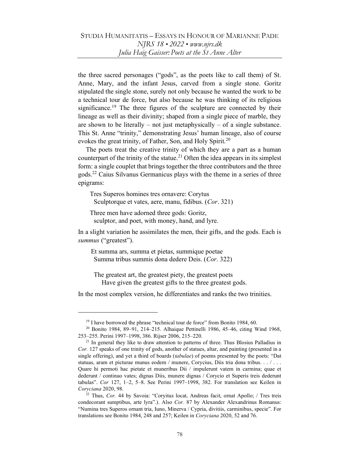the three sacred personages ("gods", as the poets like to call them) of St. Anne, Mary, and the infant Jesus, carved from a single stone. Goritz stipulated the single stone, surely not only because he wanted the work to be a technical tour de force, but also because he was thinking of its religious significance.<sup>19</sup> The three figures of the sculpture are connected by their lineage as well as their divinity; shaped from a single piece of marble, they are shown to be literally – not just metaphysically – of a single substance. This St. Anne "trinity," demonstrating Jesus' human lineage, also of course evokes the great trinity, of Father, Son, and Holy Spirit.<sup>20</sup>

The poets treat the creative trinity of which they are a part as a human counterpart of the trinity of the statue.<sup>21</sup> Often the idea appears in its simplest form: a single couplet that brings together the three contributors and the three gods.<sup>22</sup> Caius Silvanus Germanicus plays with the theme in a series of three epigrams:

 Tres Superos homines tres ornavere: Corytus Sculptorque et vates, aere, manu, fidibus. (Cor. 321)

 Three men have adorned three gods: Goritz, sculptor, and poet, with money, hand, and lyre.

In a slight variation he assimilates the men, their gifts, and the gods. Each is summus ("greatest").

 Et summa ars, summa et pietas, summique poetae Summa tribus summis dona dedere Deis. (Cor. 322)

 The greatest art, the greatest piety, the greatest poets Have given the greatest gifts to the three greatest gods.

In the most complex version, he differentiates and ranks the two trinities.

<sup>&</sup>lt;sup>19</sup> I have borrowed the phrase "technical tour de force" from Bonito 1984, 60.

<sup>20</sup> Bonito 1984, 89–91, 214–215. Alhaique Pettinelli 1986, 45–46, citing Wind 1968, 253–255. Perini 1997–1998, 386. Rijser 2006, 215–220.

 $21$  In general they like to draw attention to patterns of three. Thus Blosius Palladius in Cor. 127 speaks of one trinity of gods, another of statues, altar, and painting (presented in a single offering), and yet a third of boards *(tabulae)* of poems presented by the poets: "Dat statuas, aram et picturae munus eodem / munere, Corycius, Diis tria dona tribus. . . / . . . Quare hi permoti hac pietate et muneribus Dii / impulerunt vatem in carmina; quae et dederunt / continuo vates; dignas Diis, munere dignas / Corycio et Superis treis dederunt tabulas". Cor 127, 1–2, 5–8. See Perini 1997–1998, 382. For translation see Keilen in Coryciana 2020, 98.

 $22$  Thus, Cor. 44 by Savoia: "Coryitus locat, Andreas facit, ornat Apollo; / Tres treis condecorant sumptibus, arte lyra".). Also Cor. 87 by Alexander Alexandrinus Romanus: "Numina tres Superos ornant tria, Iuno, Minerva / Cypria, divitiis, carminibus, specie". For translations see Bonito 1984, 248 and 257; Keilen in Coryciana 2020, 52 and 76.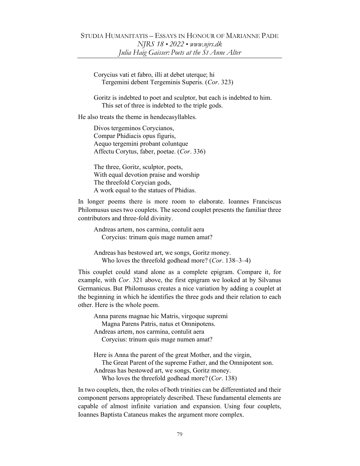Corycius vati et fabro, illi at debet uterque; hi Tergemini debent Tergeminis Superis. (Cor. 323)

 Goritz is indebted to poet and sculptor, but each is indebted to him. This set of three is indebted to the triple gods.

He also treats the theme in hendecasyllables.

 Divos tergeminos Corycianos, Compar Phidiacis opus figuris, Aequo tergemini probant coluntque Affectu Corytus, faber, poetae. (Cor. 336)

 The three, Goritz, sculptor, poets, With equal devotion praise and worship The threefold Corycian gods, A work equal to the statues of Phidias.

In longer poems there is more room to elaborate. Ioannes Franciscus Philomusus uses two couplets. The second couplet presents the familiar three contributors and three-fold divinity.

 Andreas artem, nos carmina, contulit aera Corycius: trinum quis mage numen amat?

 Andreas has bestowed art, we songs, Goritz money. Who loves the threefold godhead more? (*Cor.* 138–3–4)

This couplet could stand alone as a complete epigram. Compare it, for example, with Cor. 321 above, the first epigram we looked at by Silvanus Germanicus. But Philomusus creates a nice variation by adding a couplet at the beginning in which he identifies the three gods and their relation to each other. Here is the whole poem.

 Anna parens magnae hic Matris, virgoque supremi Magna Parens Patris, natus et Omnipotens. Andreas artem, nos carmina, contulit aera Corycius: trinum quis mage numen amat?

 Here is Anna the parent of the great Mother, and the virgin, The Great Parent of the supreme Father, and the Omnipotent son. Andreas has bestowed art, we songs, Goritz money. Who loves the threefold godhead more? (Cor. 138)

In two couplets, then, the roles of both trinities can be differentiated and their component persons appropriately described. These fundamental elements are capable of almost infinite variation and expansion. Using four couplets, Ioannes Baptista Cataneus makes the argument more complex.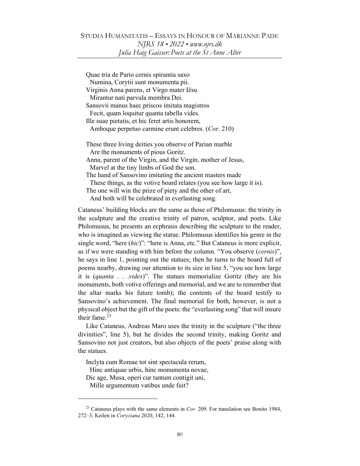| Quae tria de Pario cernis spirantia saxo                             |
|----------------------------------------------------------------------|
| Numina, Corytii sunt monumenta pii.                                  |
| Virginis Anna parens, et Virgo mater Iësu                            |
| Mirantur nati parvula membra Dei.                                    |
| Sansovii manus haec priscos imitata magistros                        |
| Fecit, quam loquitur quanta tabella vides.                           |
| Ille suae pietatis, et hic feret artis honorem,                      |
| Amboque perpetuo carmine erunt celebres. (Cor. 210)                  |
|                                                                      |
| These three living deities you observe of Parian marble              |
| Are the monuments of pious Goritz.                                   |
| Anna, parent of the Virgin, and the Virgin, mother of Jesus,         |
| Marvel at the tiny limbs of God the son.                             |
| The hand of Sansovino imitating the ancient masters made             |
| These things, as the votive board relates (you see how large it is). |
| The one will win the prize of piety and the other of art,            |
| And both will be celebrated in everlasting song.                     |

Cataneus' building blocks are the same as those of Philomusus: the trinity in the sculpture and the creative trinity of patron, sculptor, and poets. Like Philomusus, he presents an ecphrasis describing the sculpture to the reader, who is imagined as viewing the statue. Philomusus identifies his genre in the single word, "here (hic)": "here is Anna, etc." But Cataneus is more explicit, as if we were standing with him before the column. "You observe (cernis)", he says in line 1, pointing out the statues; then he turns to the board full of poems nearby, drawing our attention to its size in line 5, "you see how large it is *(quanta . . . vides)*". The statues memorialize Goritz (they are his monuments, both votive offerings and memorial, and we are to remember that the altar marks his future tomb); the contents of the board testify to Sansovino's achievement. The final memorial for both, however, is not a physical object but the gift of the poets: the "everlasting song" that will insure their fame. $23$ 

Like Cataneus, Andreas Maro uses the trinity in the sculpture ("the three divinities", line 5), but he divides the second trinity, making Goritz and Sansovino not just creators, but also objects of the poets' praise along with the statues.

Inclyta cum Romae tot sint spectacula rerum,

Hinc antiquae urbis, hinc monumenta novae,

Dic age, Musa, operi cur tantum contigit uni, Mille argumentum vatibus unde fuit?

 $23$  Cataneus plays with the same elements in *Cor.* 209. For translation see Bonito 1984, 272–3; Keilen in Coryciana 2020, 142, 144.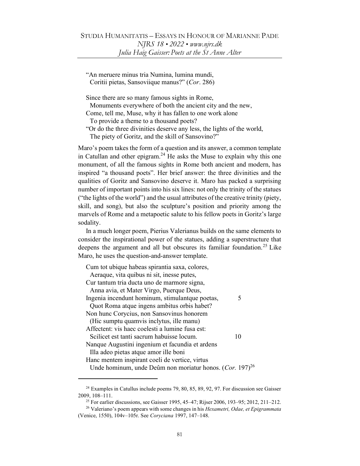"An meruere minus tria Numina, lumina mundi, Coritii pietas, Sansoviique manus?" (Cor. 286)

Since there are so many famous sights in Rome,

Monuments everywhere of both the ancient city and the new,

Come, tell me, Muse, why it has fallen to one work alone

To provide a theme to a thousand poets?

"Or do the three divinities deserve any less, the lights of the world, The piety of Goritz, and the skill of Sansovino?"

Maro's poem takes the form of a question and its answer, a common template in Catullan and other epigram.<sup>24</sup> He asks the Muse to explain why this one monument, of all the famous sights in Rome both ancient and modern, has inspired "a thousand poets". Her brief answer: the three divinities and the qualities of Goritz and Sansovino deserve it. Maro has packed a surprising number of important points into his six lines: not only the trinity of the statues ("the lights of the world") and the usual attributes of the creative trinity (piety, skill, and song), but also the sculpture's position and priority among the marvels of Rome and a metapoetic salute to his fellow poets in Goritz's large sodality.

In a much longer poem, Pierius Valerianus builds on the same elements to consider the inspirational power of the statues, adding a superstructure that deepens the argument and all but obscures its familiar foundation.<sup>25</sup> Like Maro, he uses the question-and-answer template.

| Cum tot ubique habeas spirantia saxa, colores,                |    |
|---------------------------------------------------------------|----|
| Aeraque, vita quibus ni sit, inesse putes,                    |    |
| Cur tantum tria ducta uno de marmore signa,                   |    |
| Anna avia, et Mater Virgo, Puerque Deus,                      |    |
| Ingenia incendunt hominum, stimulantque poetas,               | 5  |
| Quot Roma atque ingens ambitus orbis habet?                   |    |
| Non hunc Corycius, non Sansovinus honorem                     |    |
| (Hic sumptu quamvis inclytus, ille manu)                      |    |
| Affectent: vis haec coelesti a lumine fusa est:               |    |
| Scilicet est tanti sacrum habuisse locum.                     | 10 |
| Nanque Augustini ingenium et facundia et ardens               |    |
| Illa adeo pietas atque amor ille boni                         |    |
| Hanc mentem inspirant coeli de vertice, virtus                |    |
| Unde hominum, unde Deûm non moriatur honos. $(Cor. 197)^{26}$ |    |
|                                                               |    |

 $24$  Examples in Catullus include poems 79, 80, 85, 89, 92, 97. For discussion see Gaisser 2009, 108–111.

<sup>25</sup> For earlier discussions, see Gaisser 1995, 45–47; Rijser 2006, 193–95; 2012, 211–212.

 $26$  Valeriano's poem appears with some changes in his *Hexametri, Odae, et Epigrammata* (Venice, 1550), 104v–105r. See Coryciana 1997, 147–148.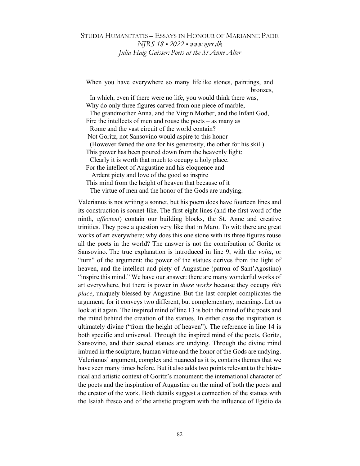When you have everywhere so many lifelike stones, paintings, and bronzes,

 In which, even if there were no life, you would think there was, Why do only three figures carved from one piece of marble,

 The grandmother Anna, and the Virgin Mother, and the Infant God, Fire the intellects of men and rouse the poets – as many as

Rome and the vast circuit of the world contain?

Not Goritz, not Sansovino would aspire to this honor

(However famed the one for his generosity, the other for his skill).

This power has been poured down from the heavenly light:

Clearly it is worth that much to occupy a holy place.

For the intellect of Augustine and his eloquence and Ardent piety and love of the good so inspire

This mind from the height of heaven that because of it

The virtue of men and the honor of the Gods are undying.

Valerianus is not writing a sonnet, but his poem does have fourteen lines and its construction is sonnet-like. The first eight lines (and the first word of the ninth, affectent) contain our building blocks, the St. Anne and creative trinities. They pose a question very like that in Maro. To wit: there are great works of art everywhere; why does this one stone with its three figures rouse all the poets in the world? The answer is not the contribution of Goritz or Sansovino. The true explanation is introduced in line 9, with the *volta*, or "turn" of the argument: the power of the statues derives from the light of heaven, and the intellect and piety of Augustine (patron of Sant'Agostino) "inspire this mind." We have our answer: there are many wonderful works of art everywhere, but there is power in *these works* because they occupy *this* place, uniquely blessed by Augustine. But the last couplet complicates the argument, for it conveys two different, but complementary, meanings. Let us look at it again. The inspired mind of line 13 is both the mind of the poets and the mind behind the creation of the statues. In either case the inspiration is ultimately divine ("from the height of heaven"). The reference in line 14 is both specific and universal. Through the inspired mind of the poets, Goritz, Sansovino, and their sacred statues are undying. Through the divine mind imbued in the sculpture, human virtue and the honor of the Gods are undying. Valerianus' argument, complex and nuanced as it is, contains themes that we have seen many times before. But it also adds two points relevant to the historical and artistic context of Goritz's monument: the international character of the poets and the inspiration of Augustine on the mind of both the poets and the creator of the work. Both details suggest a connection of the statues with the Isaiah fresco and of the artistic program with the influence of Egidio da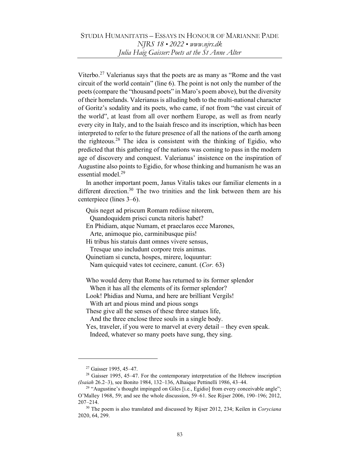Viterbo.<sup>27</sup> Valerianus says that the poets are as many as "Rome and the vast" circuit of the world contain" (line 6). The point is not only the number of the poets (compare the "thousand poets" in Maro's poem above), but the diversity of their homelands. Valerianus is alluding both to the multi-national character of Goritz's sodality and its poets, who came, if not from "the vast circuit of the world", at least from all over northern Europe, as well as from nearly every city in Italy, and to the Isaiah fresco and its inscription, which has been interpreted to refer to the future presence of all the nations of the earth among the righteous.<sup>28</sup> The idea is consistent with the thinking of Egidio, who predicted that this gathering of the nations was coming to pass in the modern age of discovery and conquest. Valerianus' insistence on the inspiration of Augustine also points to Egidio, for whose thinking and humanism he was an essential model.<sup>29</sup>

In another important poem, Janus Vitalis takes our familiar elements in a different direction.<sup>30</sup> The two trinities and the link between them are his centerpiece (lines 3–6).

Quis neget ad priscum Romam rediisse nitorem,

Quandoquidem prisci cuncta nitoris habet?

En Phidiam, atque Numam, et praeclaros ecce Marones,

Arte, animoque pio, carminibusque piis!

Hi tribus his statuis dant omnes vivere sensus, Tresque uno includunt corpore treis animas.

Quinetiam si cuncta, hospes, mirere, loquuntur:

Nam quicquid vates tot cecinere, canunt. (Cor. 63)

Who would deny that Rome has returned to its former splendor When it has all the elements of its former splendor?

Look! Phidias and Numa, and here are brilliant Vergils!

With art and pious mind and pious songs

These give all the senses of these three statues life,

And the three enclose three souls in a single body.

Yes, traveler, if you were to marvel at every detail – they even speak.

Indeed, whatever so many poets have sung, they sing.

<sup>27</sup> Gaisser 1995, 45–47.

<sup>&</sup>lt;sup>28</sup> Gaisser 1995, 45–47. For the contemporary interpretation of the Hebrew inscription (Isaiah 26.2–3), see Bonito 1984, 132–136, Alhaique Pettinelli 1986, 43–44.

 $29$  "Augustine's thought impinged on Giles [i.e., Egidio] from every conceivable angle"; O'Malley 1968, 59; and see the whole discussion, 59–61. See Rijser 2006, 190–196; 2012, 207–214.

<sup>&</sup>lt;sup>30</sup> The poem is also translated and discussed by Rijser 2012, 234; Keilen in Coryciana 2020, 64, 299.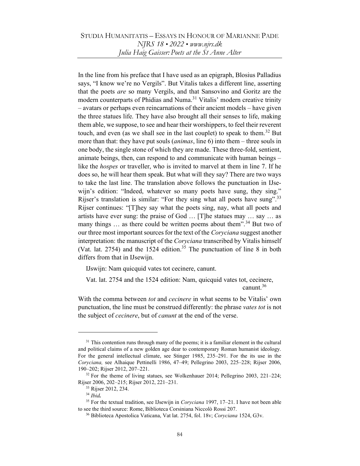# STUDIA HUMANITATIS – ESSAYS IN HONOUR OF MARIANNE PADE NJRS 18 • 2022 • www.njrs.dk Julia Haig Gaisser: Poets at the St Anne Alter

In the line from his preface that I have used as an epigraph, Blosius Palladius says, "I know we're no Vergils". But Vitalis takes a different line, asserting that the poets are so many Vergils, and that Sansovino and Goritz are the modern counterparts of Phidias and Numa.<sup>31</sup> Vitalis' modern creative trinity – avatars or perhaps even reincarnations of their ancient models – have given the three statues life. They have also brought all their senses to life, making them able, we suppose, to see and hear their worshippers, to feel their reverent touch, and even (as we shall see in the last couplet) to speak to them.<sup>32</sup> But more than that: they have put souls *(animas*, line 6) into them – three souls in one body, the single stone of which they are made. These three-fold, sentient, animate beings, then, can respond to and communicate with human beings – like the hospes or traveller, who is invited to marvel at them in line 7. If he does so, he will hear them speak. But what will they say? There are two ways to take the last line. The translation above follows the punctuation in IJsewijn's edition: "Indeed, whatever so many poets have sung, they sing." Rijser's translation is similar: "For they sing what all poets have sung".<sup>33</sup> Rijser continues: "[T]hey say what the poets sing, nay, what all poets and artists have ever sung: the praise of God … [T]he statues may … say … as many things  $\ldots$  as there could be written poems about them".<sup>34</sup> But two of our three most important sources for the text of the Coryciana suggest another interpretation: the manuscript of the *Coryciana* transcribed by Vitalis himself (Vat. lat. 2754) and the  $1524$  edition.<sup>35</sup> The punctuation of line 8 in both differs from that in IJsewijn.

IJswijn: Nam quicquid vates tot cecinere, canunt.

Vat. lat. 2754 and the 1524 edition: Nam, quicquid vates tot, cecinere, canunt.<sup>36</sup>

With the comma between *tot* and *cecinere* in what seems to be Vitalis' own punctuation, the line must be construed differently: the phrase vates tot is not the subject of *cecinere*, but of *canunt* at the end of the verse.

 $31$  This contention runs through many of the poems; it is a familiar element in the cultural and political claims of a new golden age dear to contemporary Roman humanist ideology. For the general intellectual climate, see Stinger 1985, 235–291. For the its use in the Coryciana, see Alhaique Pettinelli 1986, 47–49; Pellegrino 2003, 225–228; Rijser 2006, 190–202; Rijser 2012, 207–221.

<sup>&</sup>lt;sup>32</sup> For the theme of living statues, see Wolkenhauer 2014; Pellegrino 2003, 221-224; Rijser 2006, 202–215; Rijser 2012, 221–231.

<sup>33</sup> Rijser 2012, 234.

<sup>34</sup> Ibid.

<sup>&</sup>lt;sup>35</sup> For the textual tradition, see IJsewijn in Coryciana 1997, 17-21. I have not been able to see the third source: Rome, Biblioteca Corsiniana Niccolò Rossi 207.

<sup>&</sup>lt;sup>36</sup> Biblioteca Apostolica Vaticana, Vat lat. 2754, fol. 18v; Coryciana 1524, G3v.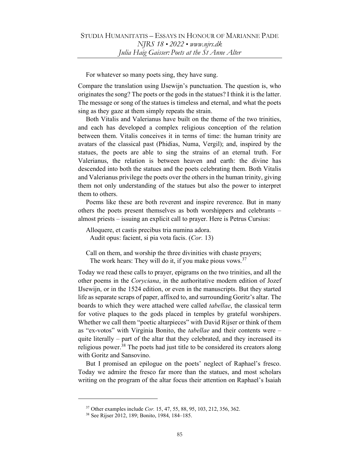For whatever so many poets sing, they have sung.

Compare the translation using IJsewijn's punctuation. The question is, who originates the song? The poets or the gods in the statues? I think it is the latter. The message or song of the statues is timeless and eternal, and what the poets sing as they gaze at them simply repeats the strain.

Both Vitalis and Valerianus have built on the theme of the two trinities, and each has developed a complex religious conception of the relation between them. Vitalis conceives it in terms of time: the human trinity are avatars of the classical past (Phidias, Numa, Vergil); and, inspired by the statues, the poets are able to sing the strains of an eternal truth. For Valerianus, the relation is between heaven and earth: the divine has descended into both the statues and the poets celebrating them. Both Vitalis and Valerianus privilege the poets over the others in the human trinity, giving them not only understanding of the statues but also the power to interpret them to others.

Poems like these are both reverent and inspire reverence. But in many others the poets present themselves as both worshippers and celebrants – almost priests – issuing an explicit call to prayer. Here is Petrus Cursius:

Alloquere, et castis precibus tria numina adora. Audit opus: facient, si pia vota facis. (Cor. 13)

Call on them, and worship the three divinities with chaste prayers; The work hears: They will do it, if you make pious vows.<sup>37</sup>

Today we read these calls to prayer, epigrams on the two trinities, and all the other poems in the Coryciana, in the authoritative modern edition of Jozef IJsewijn, or in the 1524 edition, or even in the manuscripts. But they started life as separate scraps of paper, affixed to, and surrounding Goritz's altar. The boards to which they were attached were called tabellae, the classical term for votive plaques to the gods placed in temples by grateful worshipers. Whether we call them "poetic altarpieces" with David Rijser or think of them as "ex-votos" with Virginia Bonito, the tabellae and their contents were – quite literally – part of the altar that they celebrated, and they increased its religious power. $38$  The poets had just title to be considered its creators along with Goritz and Sansovino.

But I promised an epilogue on the poets' neglect of Raphael's fresco. Today we admire the fresco far more than the statues, and most scholars writing on the program of the altar focus their attention on Raphael's Isaiah

<sup>37</sup> Other examples include Cor. 15, 47, 55, 88, 95, 103, 212, 356, 362.

<sup>38</sup> See Rijser 2012, 189; Bonito, 1984, 184–185.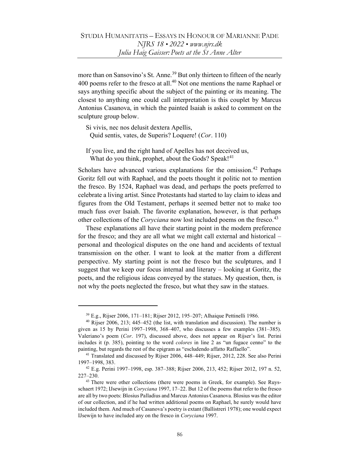more than on Sansovino's St. Anne.<sup>39</sup> But only thirteen to fifteen of the nearly 400 poems refer to the fresco at all.<sup>40</sup> Not one mentions the name Raphael or says anything specific about the subject of the painting or its meaning. The closest to anything one could call interpretation is this couplet by Marcus Antonius Casanova, in which the painted Isaiah is asked to comment on the sculpture group below.

Si vivis, nec nos delusit dextera Apellis, Quid sentis, vates, de Superis? Loquere! (Cor. 110)

If you live, and the right hand of Apelles has not deceived us, What do you think, prophet, about the Gods? Speak! $41$ 

Scholars have advanced various explanations for the omission.<sup>42</sup> Perhaps Goritz fell out with Raphael, and the poets thought it politic not to mention the fresco. By 1524, Raphael was dead, and perhaps the poets preferred to celebrate a living artist. Since Protestants had started to lay claim to ideas and figures from the Old Testament, perhaps it seemed better not to make too much fuss over Isaiah. The favorite explanation, however, is that perhaps other collections of the *Coryciana* now lost included poems on the fresco.<sup>43</sup>

These explanations all have their starting point in the modern preference for the fresco; and they are all what we might call external and historical – personal and theological disputes on the one hand and accidents of textual transmission on the other. I want to look at the matter from a different perspective. My starting point is not the fresco but the sculptures, and I suggest that we keep our focus internal and literary – looking at Goritz, the poets, and the religious ideas conveyed by the statues. My question, then, is not why the poets neglected the fresco, but what they saw in the statues.

<sup>39</sup> E.g., Rijser 2006, 171–181; Rijser 2012, 195–207; Alhaique Pettinelli 1986.

<sup>40</sup> Rijser 2006, 213; 445–452 (the list, with translation and discussion). The number is given as 15 by Perini 1997–1998, 368–407, who discusses a few examples (381–385). Valeriano's poem (Cor. 197), discussed above, does not appear on Rijser's list. Perini includes it (p. 385), pointing to the word colores in line 2 as "un fugace cenno" to the painting, but regards the rest of the epigram as "escludendo affatto Raffaello".

<sup>41</sup> Translated and discussed by Rijser 2006, 448–449; Rijser, 2012, 228. See also Perini 1997–1998, 383.

<sup>42</sup> E.g. Perini 1997–1998, esp. 387–388; Rijser 2006, 213, 452; Rijser 2012, 197 n. 52, 227–230.

<sup>&</sup>lt;sup>43</sup> There were other collections (there were poems in Greek, for example). See Ruysschaert 1972; IJsewijn in *Coryciana* 1997, 17–22. But 12 of the poems that refer to the fresco are all by two poets: Blosius Palladius and Marcus Antonius Casanova. Blosius was the editor of our collection, and if he had written additional poems on Raphael, he surely would have included them. And much of Casanova's poetry is extant (Ballistreri 1978); one would expect IJsewijn to have included any on the fresco in Coryciana 1997.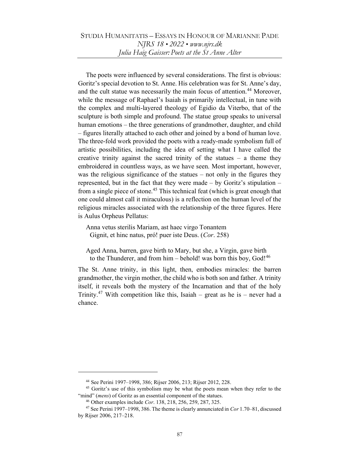# STUDIA HUMANITATIS – ESSAYS IN HONOUR OF MARIANNE PADE NJRS 18 • 2022 • www.njrs.dk Julia Haig Gaisser: Poets at the St Anne Alter

The poets were influenced by several considerations. The first is obvious: Goritz's special devotion to St. Anne. His celebration was for St. Anne's day, and the cult statue was necessarily the main focus of attention.<sup>44</sup> Moreover, while the message of Raphael's Isaiah is primarily intellectual, in tune with the complex and multi-layered theology of Egidio da Viterbo, that of the sculpture is both simple and profound. The statue group speaks to universal human emotions – the three generations of grandmother, daughter, and child – figures literally attached to each other and joined by a bond of human love. The three-fold work provided the poets with a ready-made symbolism full of artistic possibilities, including the idea of setting what I have called the creative trinity against the sacred trinity of the statues  $-$  a theme they embroidered in countless ways, as we have seen. Most important, however, was the religious significance of the statues – not only in the figures they represented, but in the fact that they were made – by Goritz's stipulation – from a single piece of stone.<sup>45</sup> This technical feat (which is great enough that one could almost call it miraculous) is a reflection on the human level of the religious miracles associated with the relationship of the three figures. Here is Aulus Orpheus Pellatus:

Anna vetus sterilis Mariam, ast haec virgo Tonantem Gignit, et hinc natus, pró! puer iste Deus. (Cor. 258)

Aged Anna, barren, gave birth to Mary, but she, a Virgin, gave birth to the Thunderer, and from him – behold! was born this boy,  $God!^{46}$ 

The St. Anne trinity, in this light, then, embodies miracles: the barren grandmother, the virgin mother, the child who is both son and father. A trinity itself, it reveals both the mystery of the Incarnation and that of the holy Trinity.<sup>47</sup> With competition like this, Isaiah – great as he is – never had a chance.

<sup>44</sup> See Perini 1997–1998, 386; Rijser 2006, 213; Rijser 2012, 228.

<sup>&</sup>lt;sup>45</sup> Goritz's use of this symbolism may be what the poets mean when they refer to the "mind" (mens) of Goritz as an essential component of the statues.

<sup>46</sup> Other examples include Cor. 138, 218, 256, 259, 287, 325.

<sup>&</sup>lt;sup>47</sup> See Perini 1997–1998, 386. The theme is clearly annunciated in Cor 1.70–81, discussed by Rijser 2006, 217–218.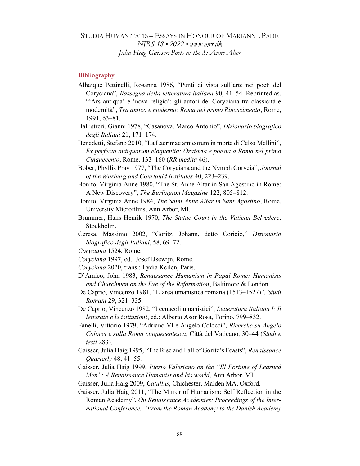### **Bibliography**

- Alhaique Pettinelli, Rosanna 1986, "Punti di vista sull'arte nei poeti del Coryciana", Rassegna della letteratura italiana 90, 41–54. Reprinted as, "'Ars antiqua' e 'nova religio': gli autori dei Coryciana tra classicità e modernità", Tra antico e moderno: Roma nel primo Rinascimento, Rome, 1991, 63–81.
- Ballistreri, Gianni 1978, "Casanova, Marco Antonio", Dizionario biografico degli Italiani 21, 171–174.
- Benedetti, Stefano 2010, "La Lacrimae amicorum in morte di Celso Mellini", Ex perfecta antiquorum eloquentia: Oratoria e poesia a Roma nel primo Cinquecento, Rome, 133–160 (RR inedita 46).
- Bober, Phyllis Pray 1977, "The Coryciana and the Nymph Corycia", Journal of the Warburg and Courtauld Institutes 40, 223–239.
- Bonito, Virginia Anne 1980, "The St. Anne Altar in San Agostino in Rome: A New Discovery", The Burlington Magazine 122, 805–812.
- Bonito, Virginia Anne 1984, The Saint Anne Altar in Sant'Agostino, Rome, University Microfilms, Ann Arbor, MI.
- Brummer, Hans Henrik 1970, The Statue Court in the Vatican Belvedere. Stockholm.
- Ceresa, Massimo 2002, "Goritz, Johann, detto Coricio," Dizionario biografico degli Italiani, 58, 69–72.
- Coryciana 1524, Rome.
- Coryciana 1997, ed.: Josef IJsewijn, Rome.
- Coryciana 2020, trans.: Lydia Keilen, Paris.
- D'Amico, John 1983, Renaissance Humanism in Papal Rome: Humanists and Churchmen on the Eve of the Reformation, Baltimore & London.
- De Caprio, Vincenzo 1981, "L'area umanistica romana (1513–1527)", Studi Romani 29, 321–335.
- De Caprio, Vincenzo 1982, "I cenacoli umanistici", Letteratura Italiana I: Il letterato e le istituzioni, ed.: Alberto Asor Rosa, Torino, 799–832.
- Fanelli, Vittorio 1979, "Adriano VI e Angelo Colocci", Ricerche su Angelo Colocci e sulla Roma cinquecentesca, Città del Vaticano, 30–44 (Studi e testi 283).
- Gaisser, Julia Haig 1995, "The Rise and Fall of Goritz's Feasts", Renaissance Quarterly 48, 41–55.
- Gaisser, Julia Haig 1999, Pierio Valeriano on the "Ill Fortune of Learned Men": A Renaissance Humanist and his world, Ann Arbor, MI.
- Gaisser, Julia Haig 2009, Catullus, Chichester, Malden MA, Oxford.
- Gaisser, Julia Haig 2011, "The Mirror of Humanism: Self Reflection in the Roman Academy", On Renaissance Academies: Proceedings of the International Conference, "From the Roman Academy to the Danish Academy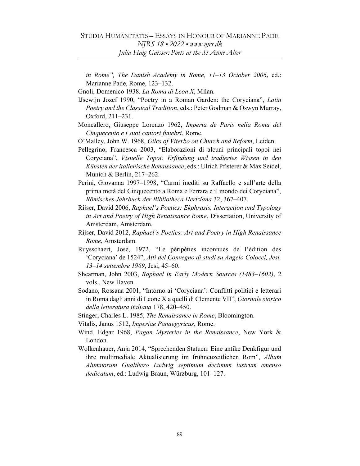in Rome", The Danish Academy in Rome, 11–13 October 2006, ed.: Marianne Pade, Rome, 123–132.

Gnoli, Domenico 1938. La Roma di Leon X, Milan.

- IJsewijn Jozef 1990, "Poetry in a Roman Garden: the Coryciana", Latin Poetry and the Classical Tradition, eds.: Peter Godman & Oswyn Murray, Oxford, 211–231.
- Moncallero, Giuseppe Lorenzo 1962, Imperia de Paris nella Roma del Cinquecento e i suoi cantori funebri, Rome.
- O'Malley, John W. 1968, Giles of Viterbo on Church and Reform, Leiden.
- Pellegrino, Francesca 2003, "Elaborazioni di alcuni principali topoi nei Coryciana", Visuelle Topoi: Erfindung und tradiertes Wissen in den Künsten der italienische Renaissance, eds.: Ulrich Pfisterer & Max Seidel, Munich & Berlin, 217–262.
- Perini, Giovanna 1997–1998, "Carmi inediti su Raffaello e sull'arte della prima metà del Cinquecento a Roma e Ferrara e il mondo dei Coryciana", Römisches Jahrbuch der Bibliotheca Hertziana 32, 367–407.
- Rijser, David 2006, Raphael's Poetics: Ekphrasis, Interaction and Typology in Art and Poetry of High Renaissance Rome, Dissertation, University of Amsterdam, Amsterdam.
- Rijser, David 2012, Raphael's Poetics: Art and Poetry in High Renaissance Rome, Amsterdam.
- Ruysschaert, José, 1972, "Le péripéties inconnues de l'édition des 'Coryciana' de 1524", Atti del Convegno di studi su Angelo Colocci, Jesi, 13–14 settembre 1969, Jesi, 45–60.
- Shearman, John 2003, Raphael in Early Modern Sources (1483–1602), 2 vols., New Haven.
- Sodano, Rossana 2001, "Intorno ai 'Coryciana': Conflitti politici e letterari in Roma dagli anni di Leone X a quelli di Clemente VII", Giornale storico della letteratura italiana 178, 420–450.
- Stinger, Charles L. 1985, The Renaissance in Rome, Bloomington.
- Vitalis, Janus 1512, Imperiae Panaegyricus, Rome.
- Wind, Edgar 1968, Pagan Mysteries in the Renaissance, New York & London.
- Wolkenhauer, Anja 2014, "Sprechenden Statuen: Eine antike Denkfigur und ihre multimediale Aktualisierung im frühneuzeitlichen Rom", Album Alumnorum Gualthero Ludwig septimum decimum lustrum emenso dedicatum, ed.: Ludwig Braun, Würzburg, 101–127.